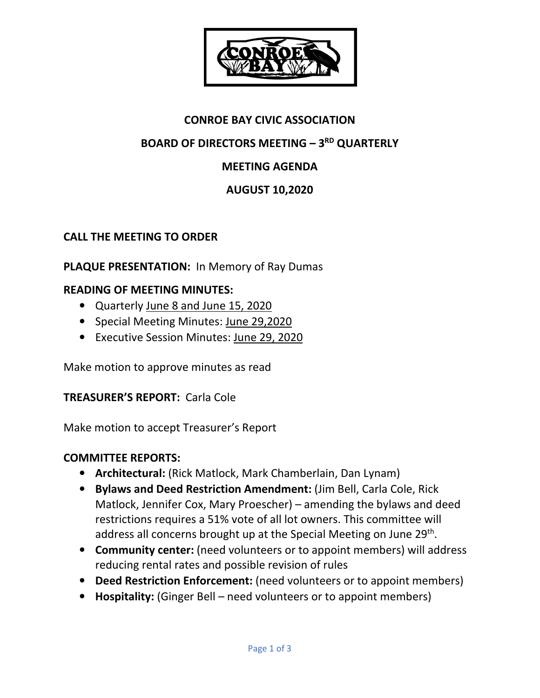

# **CONROE BAY CIVIC ASSOCIATION**

## **BOARD OF DIRECTORS MEETING – 3RD QUARTERLY**

## **MEETING AGENDA**

## **AUGUST 10,2020**

### **CALL THE MEETING TO ORDER**

### **PLAQUE PRESENTATION:** In Memory of Ray Dumas

### **READING OF MEETING MINUTES:**

- Quarterly June 8 and June 15, 2020
- Special Meeting Minutes: June 29,2020
- Executive Session Minutes: June 29, 2020

Make motion to approve minutes as read

### **TREASURER'S REPORT:** Carla Cole

Make motion to accept Treasurer's Report

#### **COMMITTEE REPORTS:**

- **Architectural:** (Rick Matlock, Mark Chamberlain, Dan Lynam)
- **Bylaws and Deed Restriction Amendment:** (Jim Bell, Carla Cole, Rick Matlock, Jennifer Cox, Mary Proescher) – amending the bylaws and deed restrictions requires a 51% vote of all lot owners. This committee will address all concerns brought up at the Special Meeting on June 29<sup>th</sup>.
- **Community center:** (need volunteers or to appoint members) will address reducing rental rates and possible revision of rules
- **Deed Restriction Enforcement:** (need volunteers or to appoint members)
- **Hospitality:** (Ginger Bell need volunteers or to appoint members)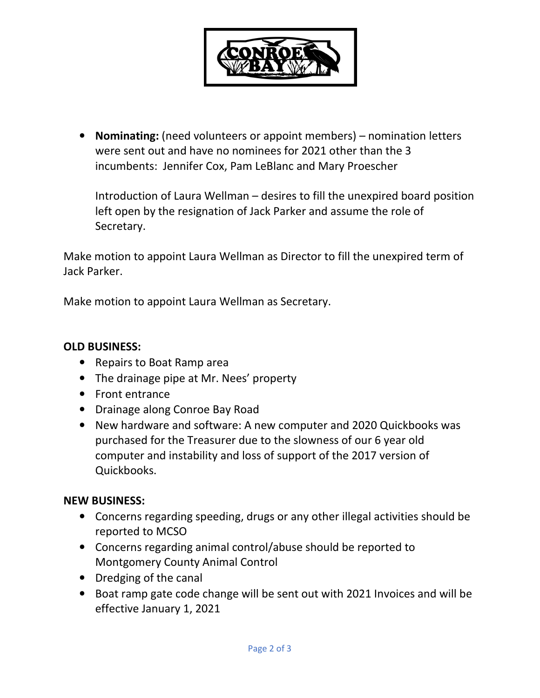

• **Nominating:** (need volunteers or appoint members) – nomination letters were sent out and have no nominees for 2021 other than the 3 incumbents: Jennifer Cox, Pam LeBlanc and Mary Proescher

Introduction of Laura Wellman – desires to fill the unexpired board position left open by the resignation of Jack Parker and assume the role of Secretary.

Make motion to appoint Laura Wellman as Director to fill the unexpired term of Jack Parker.

Make motion to appoint Laura Wellman as Secretary.

#### **OLD BUSINESS:**

- Repairs to Boat Ramp area
- The drainage pipe at Mr. Nees' property
- Front entrance
- Drainage along Conroe Bay Road
- New hardware and software: A new computer and 2020 Quickbooks was purchased for the Treasurer due to the slowness of our 6 year old computer and instability and loss of support of the 2017 version of Quickbooks.

#### **NEW BUSINESS:**

- Concerns regarding speeding, drugs or any other illegal activities should be reported to MCSO
- Concerns regarding animal control/abuse should be reported to Montgomery County Animal Control
- Dredging of the canal
- Boat ramp gate code change will be sent out with 2021 Invoices and will be effective January 1, 2021